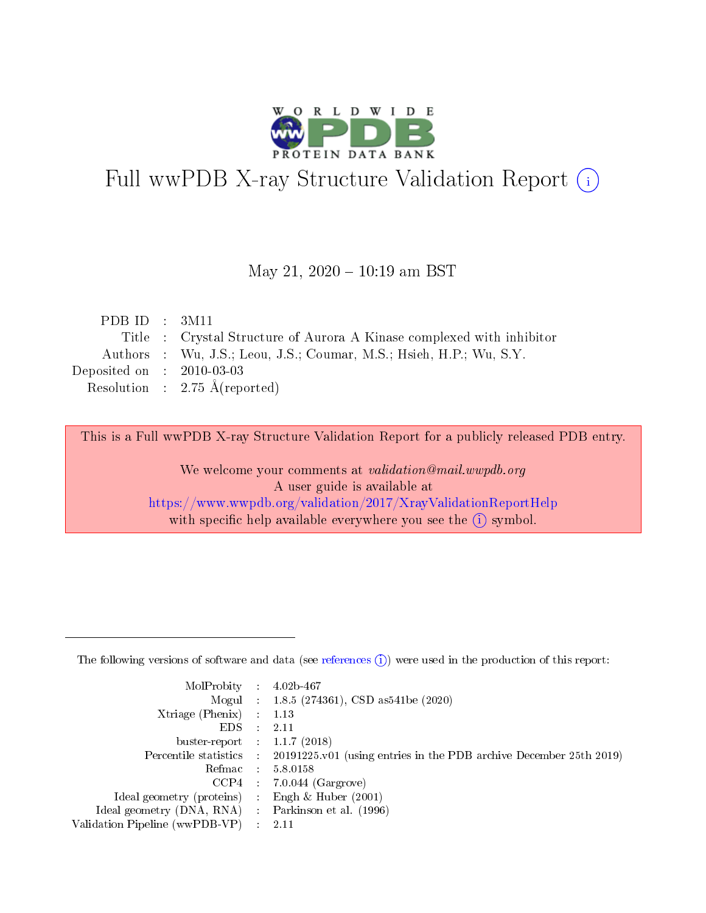

# Full wwPDB X-ray Structure Validation Report (i)

### May 21,  $2020 - 10:19$  am BST

| PDB ID : $3M11$             |                                                                       |
|-----------------------------|-----------------------------------------------------------------------|
|                             | Title : Crystal Structure of Aurora A Kinase complexed with inhibitor |
|                             | Authors : Wu, J.S.; Leou, J.S.; Coumar, M.S.; Hsieh, H.P.; Wu, S.Y.   |
| Deposited on : $2010-03-03$ |                                                                       |
|                             | Resolution : $2.75 \text{ Å}$ (reported)                              |
|                             |                                                                       |

This is a Full wwPDB X-ray Structure Validation Report for a publicly released PDB entry.

We welcome your comments at validation@mail.wwpdb.org A user guide is available at <https://www.wwpdb.org/validation/2017/XrayValidationReportHelp> with specific help available everywhere you see the  $(i)$  symbol.

The following versions of software and data (see [references](https://www.wwpdb.org/validation/2017/XrayValidationReportHelp#references)  $(1)$ ) were used in the production of this report:

| $MolProbability$ 4.02b-467                          |               |                                                                                            |
|-----------------------------------------------------|---------------|--------------------------------------------------------------------------------------------|
|                                                     |               | Mogul : 1.8.5 (274361), CSD as 541be (2020)                                                |
| $Xtriangle (Phenix)$ : 1.13                         |               |                                                                                            |
| EDS -                                               | $\mathcal{L}$ | 2.11                                                                                       |
| buster-report : $1.1.7(2018)$                       |               |                                                                                            |
|                                                     |               | Percentile statistics : 20191225.v01 (using entries in the PDB archive December 25th 2019) |
| Refmac $5.8.0158$                                   |               |                                                                                            |
|                                                     |               | $CCP4$ : 7.0.044 (Gargrove)                                                                |
| Ideal geometry (proteins) :                         |               | Engh $\&$ Huber (2001)                                                                     |
| Ideal geometry (DNA, RNA) : Parkinson et al. (1996) |               |                                                                                            |
| Validation Pipeline (wwPDB-VP) : 2.11               |               |                                                                                            |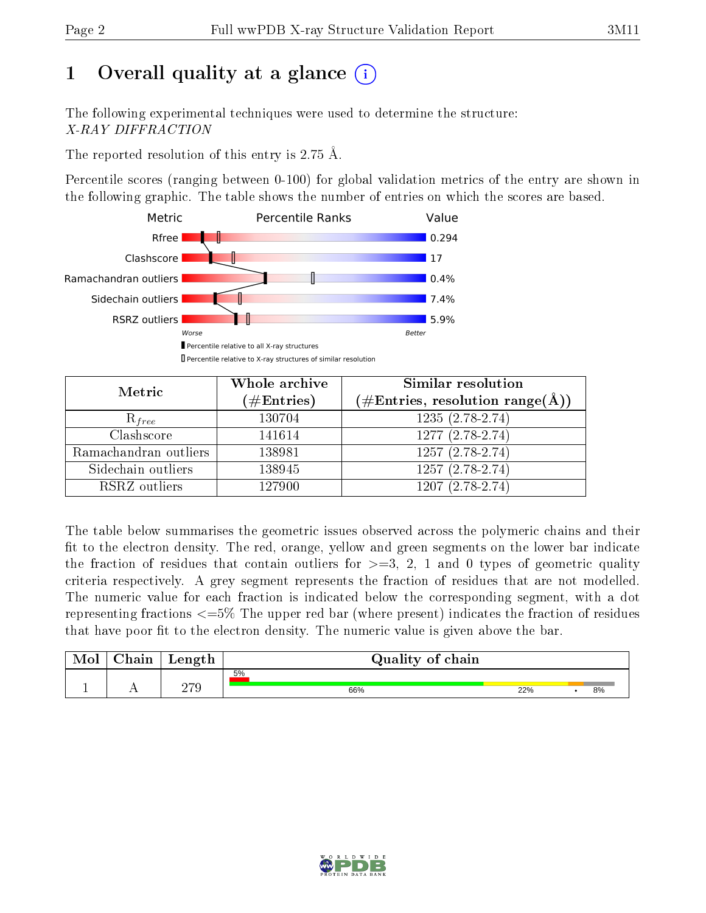# 1 [O](https://www.wwpdb.org/validation/2017/XrayValidationReportHelp#overall_quality)verall quality at a glance  $(i)$

The following experimental techniques were used to determine the structure: X-RAY DIFFRACTION

The reported resolution of this entry is 2.75 Å.

Percentile scores (ranging between 0-100) for global validation metrics of the entry are shown in the following graphic. The table shows the number of entries on which the scores are based.



| Metric                | Whole archive<br>$(\#\text{Entries})$ | <b>Similar resolution</b><br>$(\#\text{Entries}, \text{resolution range}(\textup{\AA}))$ |
|-----------------------|---------------------------------------|------------------------------------------------------------------------------------------|
| $R_{free}$            | 130704                                | $1235(2.78-2.74)$                                                                        |
| Clashscore            | 141614                                | 1277 (2.78-2.74)                                                                         |
| Ramachandran outliers | 138981                                | $1257(2.78-2.74)$                                                                        |
| Sidechain outliers    | 138945                                | $1257(2.78-2.74)$                                                                        |
| RSRZ outliers         | 127900                                | $1207(2.78-2.74)$                                                                        |

The table below summarises the geometric issues observed across the polymeric chains and their fit to the electron density. The red, orange, yellow and green segments on the lower bar indicate the fraction of residues that contain outliers for  $>=3, 2, 1$  and 0 types of geometric quality criteria respectively. A grey segment represents the fraction of residues that are not modelled. The numeric value for each fraction is indicated below the corresponding segment, with a dot representing fractions <=5% The upper red bar (where present) indicates the fraction of residues that have poor fit to the electron density. The numeric value is given above the bar.

| Mol       | $\sim$ 1<br>hain | Length | Quality of chain |     |  |    |  |  |  |
|-----------|------------------|--------|------------------|-----|--|----|--|--|--|
|           |                  | חדר    | 5%               |     |  |    |  |  |  |
| <u>д.</u> | . .              | 21 U   | 66%              | 22% |  | 8% |  |  |  |

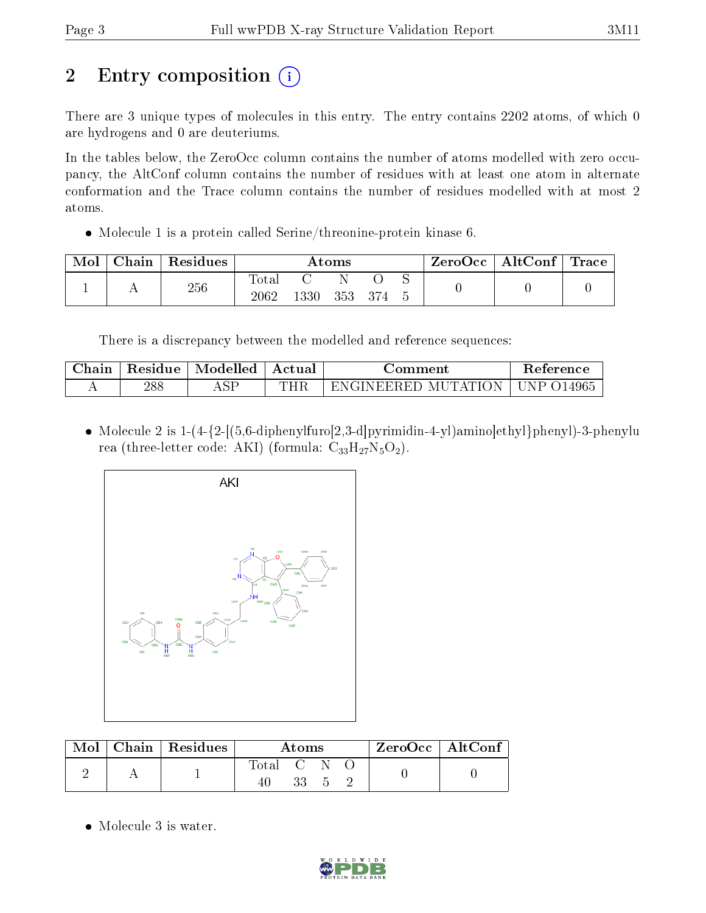# 2 Entry composition  $\left( \cdot \right)$

There are 3 unique types of molecules in this entry. The entry contains 2202 atoms, of which 0 are hydrogens and 0 are deuteriums.

In the tables below, the ZeroOcc column contains the number of atoms modelled with zero occupancy, the AltConf column contains the number of residues with at least one atom in alternate conformation and the Trace column contains the number of residues modelled with at most 2 atoms.

Molecule 1 is a protein called Serine/threonine-protein kinase 6.

| Mol | ${\rm Chain}$ | Residues | Atoms               |      |     |  | ZeroOcc | $\vert$ AltConf $\vert$ Trace |  |  |
|-----|---------------|----------|---------------------|------|-----|--|---------|-------------------------------|--|--|
|     |               | 256      | $\rm Total$<br>2062 | 1330 | 353 |  |         |                               |  |  |

There is a discrepancy between the modelled and reference sequences:

| ∕hain | Residue | Modelled    | Actual    | omment                                        | Reference |
|-------|---------|-------------|-----------|-----------------------------------------------|-----------|
| . .   | 288     | ${\rm AST}$ | TITT<br>- | н<br>MU<br>IN HIHI<br>וי∆ חי<br>.<br>∷R H∶I I | 4965      |

• Molecule 2 is  $1-(4-\{2-\frac{56}{6}\}-\frac{1}{10}\})$  mino]ethyl}phenyl)-3-phenylu rea (three-letter code: AKI) (formula:  $C_{33}H_{27}N_5O_2$ ).



|  | Mol   Chain   Residues | Atoms       |    |  |  | $ZeroOcc \mid AltConf \mid$ |
|--|------------------------|-------------|----|--|--|-----------------------------|
|  |                        | Total C N O | 33 |  |  |                             |

• Molecule 3 is water.

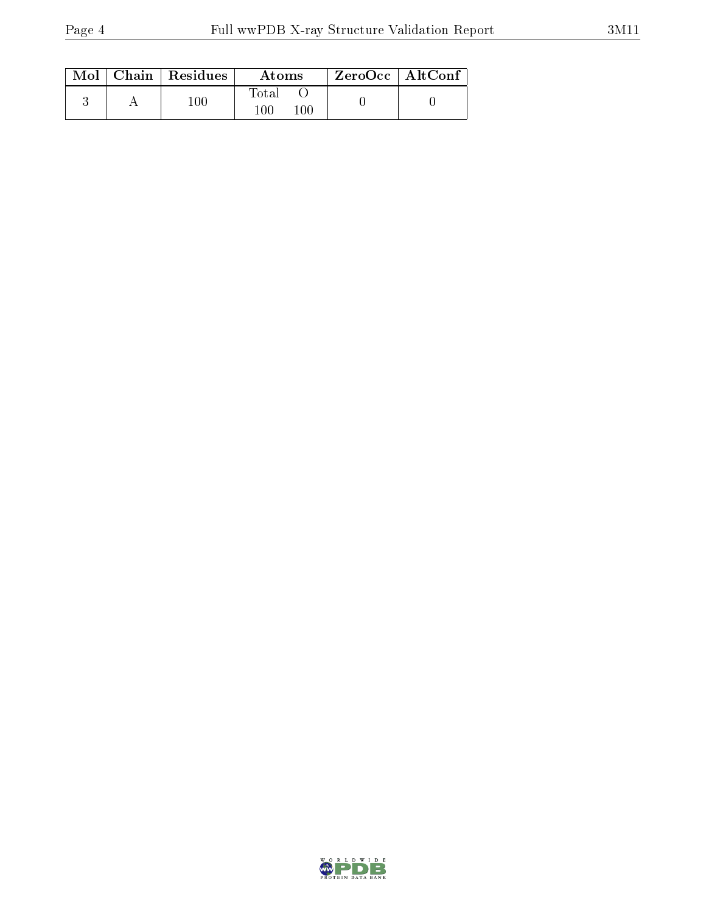|  | $\text{Mol}$   Chain   Residues | Atoms               | ZeroOcc   AltConf |  |
|--|---------------------------------|---------------------|-------------------|--|
|  | $100\,$                         | Total<br>100<br>100 |                   |  |

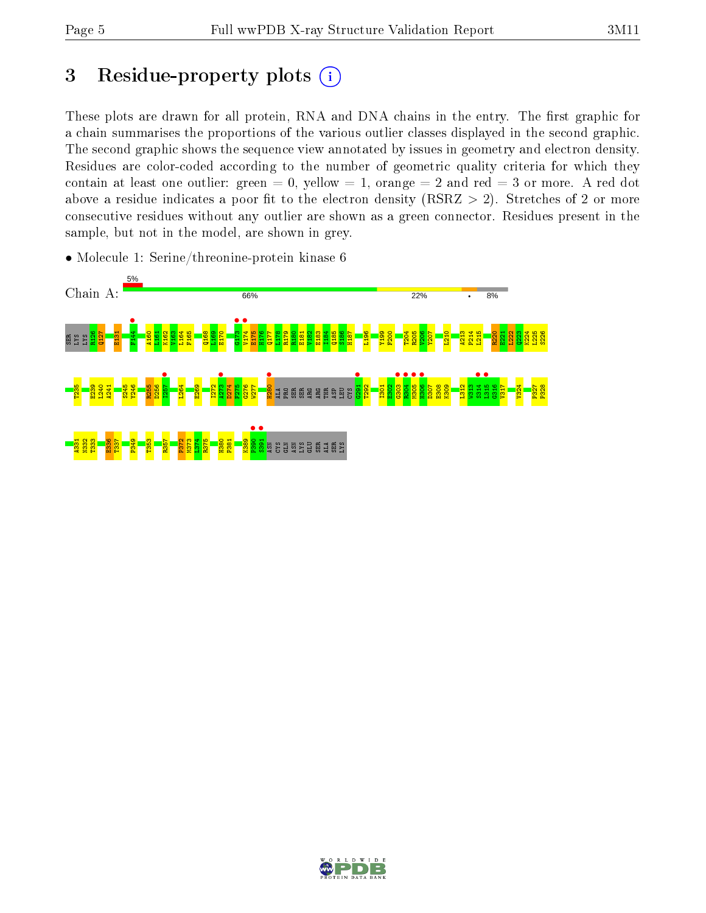# 3 Residue-property plots  $(i)$

These plots are drawn for all protein, RNA and DNA chains in the entry. The first graphic for a chain summarises the proportions of the various outlier classes displayed in the second graphic. The second graphic shows the sequence view annotated by issues in geometry and electron density. Residues are color-coded according to the number of geometric quality criteria for which they contain at least one outlier: green  $= 0$ , yellow  $= 1$ , orange  $= 2$  and red  $= 3$  or more. A red dot above a residue indicates a poor fit to the electron density (RSRZ  $> 2$ ). Stretches of 2 or more consecutive residues without any outlier are shown as a green connector. Residues present in the sample, but not in the model, are shown in grey.



• Molecule 1: Serine/threonine-protein kinase 6

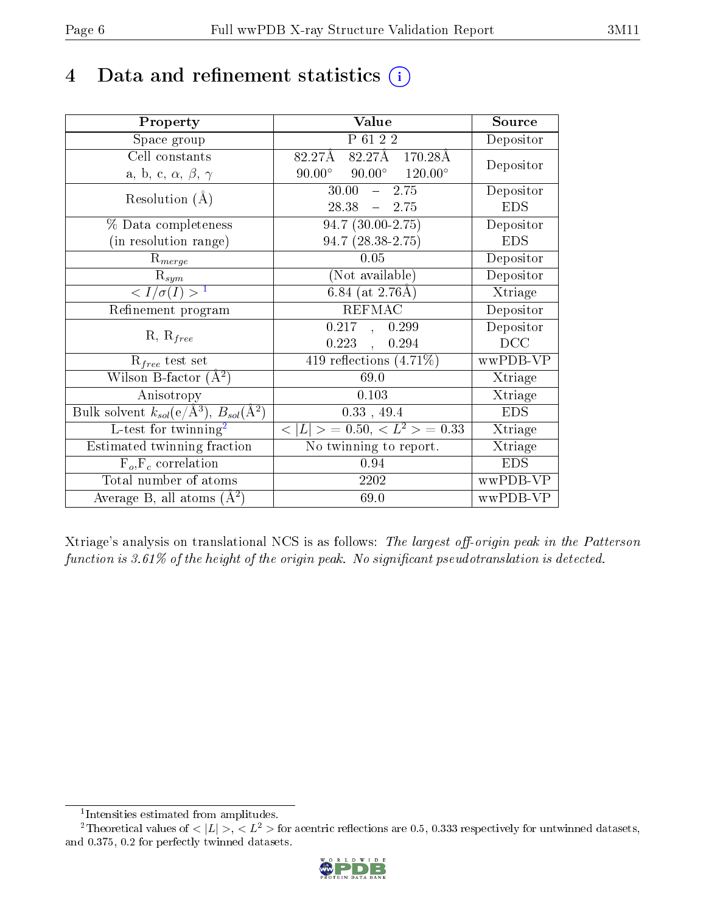## 4 Data and refinement statistics  $(i)$

| Property                                                         | Value                                            | Source     |
|------------------------------------------------------------------|--------------------------------------------------|------------|
| Space group                                                      | P 61 2 2                                         | Depositor  |
| Cell constants                                                   | 82.27Å 170.28Å<br>$82.27\text{\AA}$              | Depositor  |
| a, b, c, $\alpha$ , $\beta$ , $\gamma$                           | $90.00^{\circ}$ $90.00^{\circ}$ $120.00^{\circ}$ |            |
| Resolution $(A)$                                                 | 30.00<br>$-2.75$                                 | Depositor  |
|                                                                  | $28.38 - 2.75$                                   | <b>EDS</b> |
| % Data completeness                                              | $94.7(30.00-2.75)$                               | Depositor  |
| (in resolution range)                                            | $94.7(28.38-2.75)$                               | <b>EDS</b> |
| $R_{merge}$                                                      | 0.05                                             | Depositor  |
| $\mathrm{R}_{sym}$                                               | (Not available)                                  | Depositor  |
| $\sqrt{I/\sigma(I)} > 1$                                         | 6.84 (at $2.76\text{\AA}$ )                      | Xtriage    |
| Refinement program                                               | <b>REFMAC</b>                                    | Depositor  |
|                                                                  | 0.217, 0.299                                     | Depositor  |
| $R, R_{free}$                                                    | $0.223$ ,<br>0.294                               | DCC        |
| $R_{free}$ test set                                              | 419 reflections $(4.71\%)$                       | wwPDB-VP   |
| Wilson B-factor $(A^2)$                                          | 69.0                                             | Xtriage    |
| Anisotropy                                                       | 0.103                                            | Xtriage    |
| Bulk solvent $k_{sol}(\text{e}/\text{A}^3), B_{sol}(\text{A}^2)$ | $0.33$ , 49.4                                    | <b>EDS</b> |
| L-test for twinning <sup>2</sup>                                 | $< L >$ = 0.50, $< L^2 >$ = 0.33                 | Xtriage    |
| Estimated twinning fraction                                      | No twinning to report.                           | Xtriage    |
| $F_o, F_c$ correlation                                           | 0.94                                             | <b>EDS</b> |
| Total number of atoms                                            | 2202                                             | wwPDB-VP   |
| Average B, all atoms $(A^2)$                                     | 69.0                                             | wwPDB-VP   |

Xtriage's analysis on translational NCS is as follows: The largest off-origin peak in the Patterson function is  $3.61\%$  of the height of the origin peak. No significant pseudotranslation is detected.

<sup>&</sup>lt;sup>2</sup>Theoretical values of  $\langle |L| \rangle$ ,  $\langle L^2 \rangle$  for acentric reflections are 0.5, 0.333 respectively for untwinned datasets, and 0.375, 0.2 for perfectly twinned datasets.



<span id="page-5-1"></span><span id="page-5-0"></span><sup>1</sup> Intensities estimated from amplitudes.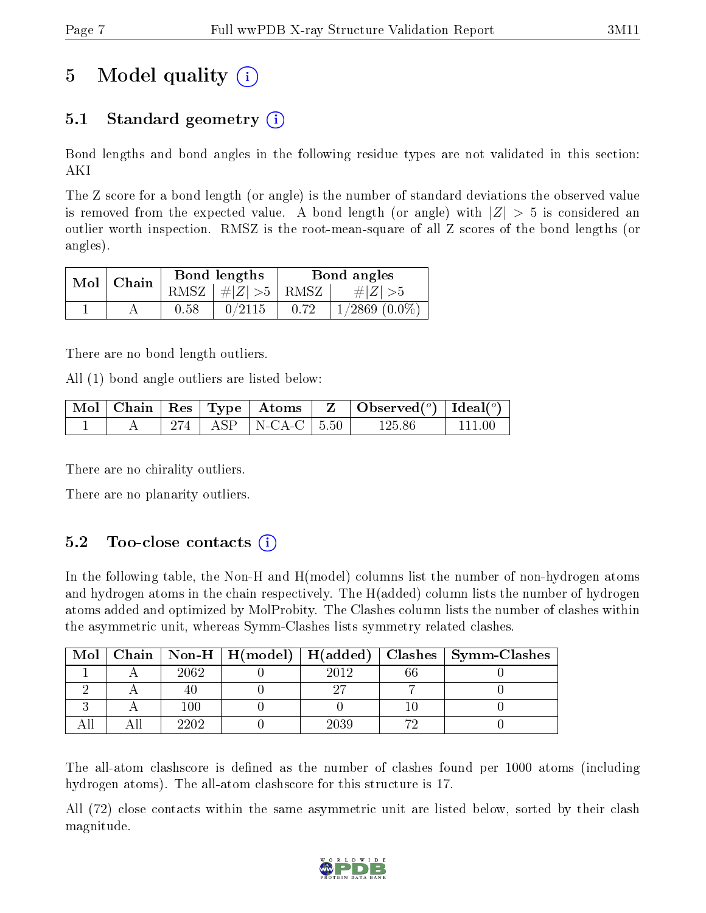# 5 Model quality  $(i)$

## 5.1 Standard geometry  $\overline{()}$

Bond lengths and bond angles in the following residue types are not validated in this section: AKI

The Z score for a bond length (or angle) is the number of standard deviations the observed value is removed from the expected value. A bond length (or angle) with  $|Z| > 5$  is considered an outlier worth inspection. RMSZ is the root-mean-square of all Z scores of the bond lengths (or angles).

| $Mol$   Chain |      | Bond lengths                     | Bond angles |                    |  |
|---------------|------|----------------------------------|-------------|--------------------|--|
|               |      | RMSZ $\mid \#  Z  > 5 \mid$ RMSZ |             | $\# Z  > 5$        |  |
|               | 0.58 | 0/2115                           | 0.72        | $1/2869$ $(0.0\%)$ |  |

There are no bond length outliers.

All (1) bond angle outliers are listed below:

|  |  |                           | $\mid$ Mol $\mid$ Chain $\mid$ Res $\mid$ Type $\mid$ Atoms $\mid$ Z $\mid$ Observed( <sup>o</sup> ) $\mid$ Ideal( <sup>o</sup> ) |          |
|--|--|---------------------------|-----------------------------------------------------------------------------------------------------------------------------------|----------|
|  |  | 274   ASP   N-CA-C   5.50 | 125.86                                                                                                                            | - 111 00 |

There are no chirality outliers.

There are no planarity outliers.

### $5.2$  Too-close contacts  $(i)$

In the following table, the Non-H and H(model) columns list the number of non-hydrogen atoms and hydrogen atoms in the chain respectively. The H(added) column lists the number of hydrogen atoms added and optimized by MolProbity. The Clashes column lists the number of clashes within the asymmetric unit, whereas Symm-Clashes lists symmetry related clashes.

| Mol |         |      |    | Chain   Non-H   H(model)   H(added)   Clashes   Symm-Clashes |
|-----|---------|------|----|--------------------------------------------------------------|
|     | 2062    | 2012 | ፍና |                                                              |
|     |         |      |    |                                                              |
|     | $100\,$ |      |    |                                                              |
|     | 202     | 2039 |    |                                                              |

The all-atom clashscore is defined as the number of clashes found per 1000 atoms (including hydrogen atoms). The all-atom clashscore for this structure is 17.

All (72) close contacts within the same asymmetric unit are listed below, sorted by their clash magnitude.

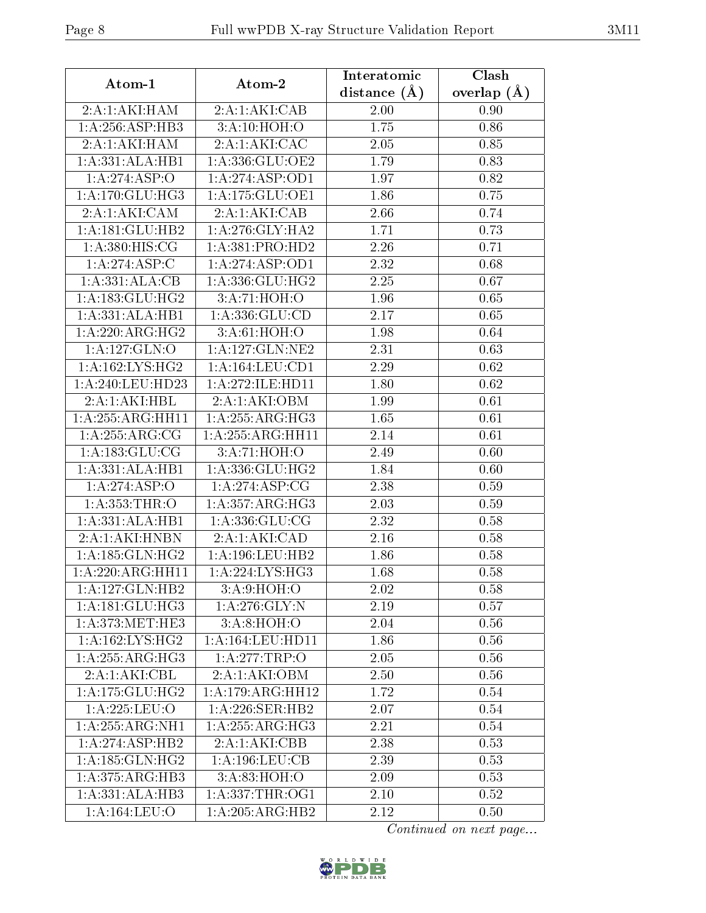| Atom-1              | Atom-2                          | Interatomic      | Clash         |  |
|---------------------|---------------------------------|------------------|---------------|--|
|                     |                                 | distance $(\AA)$ | overlap $(A)$ |  |
| 2:A:1:AKI:HAM       | 2:A:1:AKI:CAB                   | 2.00             | 0.90          |  |
| 1: A:256: ASP:HB3   | 3:A:10:HOH:O                    | 1.75             | 0.86          |  |
| 2:A:1:AKI:HAM       | 2:A:1:AKI:CAC                   | 2.05             | 0.85          |  |
| 1:A:331:ALA:HB1     | 1:A:336:GLU:OE2                 | 1.79             | 0.83          |  |
| 1:A:274:ASP:O       | 1:A:274:ASP:OD1                 | 1.97             | 0.82          |  |
| 1:A:170:GLU:HG3     | 1:A:175:GLU:OE1                 | 1.86             | 0.75          |  |
| 2:A:1:AKI:CAM       | 2:A:1:AKI:CAB                   | 2.66             | 0.74          |  |
| 1:A:181:GLU:HB2     | 1: A:276: GLY:HA2               | 1.71             | 0.73          |  |
| 1: A:380: HIS: CG   | 1: A: 381: PRO: HD2             | 2.26             | 0.71          |  |
| 1:A:274:ASP:C       | 1: A:274: ASP:OD1               | 2.32             | 0.68          |  |
| 1:A:331:ALA:CB      | 1: A: 336: GLU: HG2             | 2.25             | 0.67          |  |
| 1: A: 183: GLU: HG2 | 3:A:71:HOH:O                    | 1.96             | 0.65          |  |
| 1:A:331:ALA:HB1     | 1: A: 336: GLU: CD              | 2.17             | 0.65          |  |
| 1:A:220:ARG:HG2     | 3: A:61: HOH:O                  | 1.98             | 0.64          |  |
| 1: A: 127: GLN: O   | 1: A: 127: GLN: NE2             | 2.31             | 0.63          |  |
| 1: A: 162: LYS: HG2 | $1: A: 164: \overline{LEU:CD1}$ | 2.29             | 0.62          |  |
| 1: A:240:LEU:HD23   | 1:A:272:ILE:HD11                | 1.80             | 0.62          |  |
| 2:A:1:AKI:HBL       | 2:A:1:AKI:OBM                   | 1.99             | 0.61          |  |
| 1:A:255:ARG:HH11    | 1: A:255: ARG:HG3               | 1.65             | 0.61          |  |
| 1: A:255:ARG:CG     | 1:A:255:ARG:HH11                | 2.14             | 0.61          |  |
| 1: A: 183: GLU: CG  | 3:A:71:HOH:O                    | 2.49             | 0.60          |  |
| 1:A:331:ALA:HB1     | 1: A: 336: GLU: HG2             | 1.84             | 0.60          |  |
| 1:A:274:ASP:O       | 1:A:274:ASP:CG                  | 2.38             | 0.59          |  |
| 1: A: 353: THR:O    | 1: A:357: ARG:HG3               | 2.03             | 0.59          |  |
| 1:A:331:ALA:HB1     | 1: A: 336: GLU: CG              | 2.32             | 0.58          |  |
| 2:A:1:AKI:HNBN      | 2:A:1:AKI:CAD                   | 2.16             | 0.58          |  |
| 1: A: 185: GLN: HG2 | 1: A: 196: LEU: HB2             | 1.86             | 0.58          |  |
| 1:A:220:ARG:HH11    | 1: A:224:LYS:HG3                | 1.68             | 0.58          |  |
| 1:A:127:GLN:HB2     | 3: A:9: HOH:O                   | 2.02             | 0.58          |  |
| 1:A:181:GLU:HG3     | 1: A:276: GLY:N                 | 2.19             | 0.57          |  |
| 1: A:373:MET:HE3    | 3: A:8: HOH:O                   | 2.04             | 0.56          |  |
| 1: A: 162: LYS: HG2 | 1:A:164:LEU:HD11                | 1.86             | 0.56          |  |
| 1:A:255:ARG:HG3     | 1:A:277:TRP:O                   | 2.05             | 0.56          |  |
| 2:A:1:AKI:CBL       | 2:A:1:AKI:OBM                   | 2.50             | 0.56          |  |
| 1: A:175: GLU:HG2   | 1:A:179:ARG:HH12                | 1.72             | 0.54          |  |
| 1:A:225:LEU:O       | 1:A:226:SER:HB2                 | 2.07             | 0.54          |  |
| 1:A:255:ARG:NH1     | 1: A:255: ARG:HG3               | 2.21             | 0.54          |  |
| 1:A:274:ASP:HB2     | 2:A:1:AKI:CBB                   | 2.38             | 0.53          |  |
| 1: A: 185: GLN: HG2 | 1:A:196:LEU:CB                  | 2.39             | 0.53          |  |
| 1: A:375: ARG: HB3  | 3:A:83:HOH:O                    | 2.09             | 0.53          |  |
| 1:A:331:ALA:HB3     | 1: A: 337: THR: OG1             | 2.10             | 0.52          |  |
| 1:A:164:LEU:O       | 1:A:205:ARG:HB2                 | 2.12             | 0.50          |  |

Continued on next page...

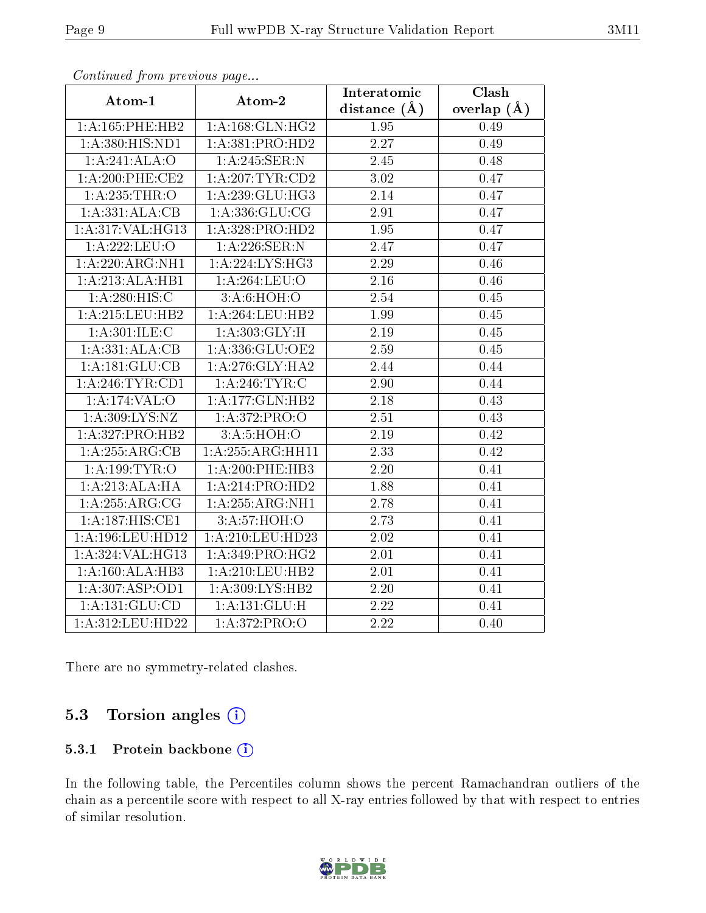| $P$ . The second set of $P$ is the set of $P$ and $P$ and $P$<br>Atom-1 | Atom-2              | Interatomic       | Clash         |
|-------------------------------------------------------------------------|---------------------|-------------------|---------------|
|                                                                         |                     | distance $(A)$    | overlap $(A)$ |
| 1: A: 165: PHE: HB2                                                     | 1: A:168: GLN: HG2  | 1.95              | 0.49          |
| 1:A:380:HIS:ND1                                                         | 1: A: 381: PRO: HD2 | 2.27              | 0.49          |
| 1:A:241:ALA:O                                                           | 1:A:245:SER:N       | $2.45\,$          | 0.48          |
| $1: A:200:$ PHE:CE2                                                     | 1: A:207:TYR:CD2    | 3.02              | 0.47          |
| 1: A: 235: THR:O                                                        | 1:A:239:GLU:HG3     | 2.14              | 0.47          |
| 1:A:331:ALA:CB                                                          | 1: A: 336: GLU: CG  | 2.91              | 0.47          |
| 1:A:317:VAL:HG13                                                        | 1:A:328:PRO:HD2     | 1.95              | 0.47          |
| 1:A:222:LEU:O                                                           | 1:A:226:SER:N       | 2.47              | 0.47          |
| 1:A:220:ARG:NH1                                                         | 1: A:224:LYS:HG3    | $\overline{2}.29$ | 0.46          |
| 1:A:213:ALA:HB1                                                         | 1:A:264:LEU:O       | 2.16              | 0.46          |
| 1: A:280:HIS:C                                                          | 3:A:6:HOH:O         | $\overline{2.54}$ | 0.45          |
| 1: A:215:LEU:HB2                                                        | 1:A:264:LEU:HB2     | 1.99              | 0.45          |
| 1: A:301: ILE:C                                                         | 1: A:303: GLY:H     | 2.19              | 0.45          |
| 1:A:331:ALA:CB                                                          | 1:A:336:GLU:OE2     | 2.59              | 0.45          |
| 1:A:181:GLU:CB                                                          | 1:A:276:GLY:HA2     | 2.44              | 0.44          |
| 1: A:246:TYR:CD1                                                        | 1: A:246:TYR:C      | 2.90              | 0.44          |
| 1:A:174:VAL:O                                                           | 1:A:177:GLN:HB2     | 2.18              | 0.43          |
| 1: A:309: LYS: NZ                                                       | 1: A:372: PRO:O     | 2.51              | 0.43          |
| 1:A:327:PRO:HB2                                                         | 3:A:5:HOH:O         | 2.19              | 0.42          |
| 1: A:255: ARG:CB                                                        | 1:A:255:ARG:HH11    | 2.33              | 0.42          |
| 1: A: 199: TYR: O                                                       | 1:A:200:PHE:HB3     | 2.20              | 0.41          |
| 1:A:213:ALA:HA                                                          | 1:A:214:PRO:HD2     | 1.88              | 0.41          |
| 1: A: 255: ARG: CG                                                      | 1:A:255:ARG:NH1     | 2.78              | 0.41          |
| 1:A:187:HIS:CE1                                                         | 3:A:57:HOH:O        | 2.73              | 0.41          |
| 1: A:196:LEU:HD12                                                       | 1:A:210:LEU:HD23    | 2.02              | 0.41          |
| 1:A:324:VAL:HG13                                                        | 1: A:349: PRO:HG2   | 2.01              | 0.41          |
| 1:A:160:ALA:HB3                                                         | 1: A:210:LEU:HB2    | 2.01              | 0.41          |
| 1:A:307:ASP:OD1                                                         | 1:A:309:LYS:HB2     | $\overline{2}.20$ | 0.41          |
| 1:A:131:GLU:CD                                                          | 1: A: 131: GLU: H   | 2.22              | 0.41          |
| 1:A:312:LEU:HD22                                                        | 1:A:372:PRO:O       | 2.22              | 0.40          |

Continued from previous page...

There are no symmetry-related clashes.

### 5.3 Torsion angles (i)

#### 5.3.1 Protein backbone (i)

In the following table, the Percentiles column shows the percent Ramachandran outliers of the chain as a percentile score with respect to all X-ray entries followed by that with respect to entries of similar resolution.

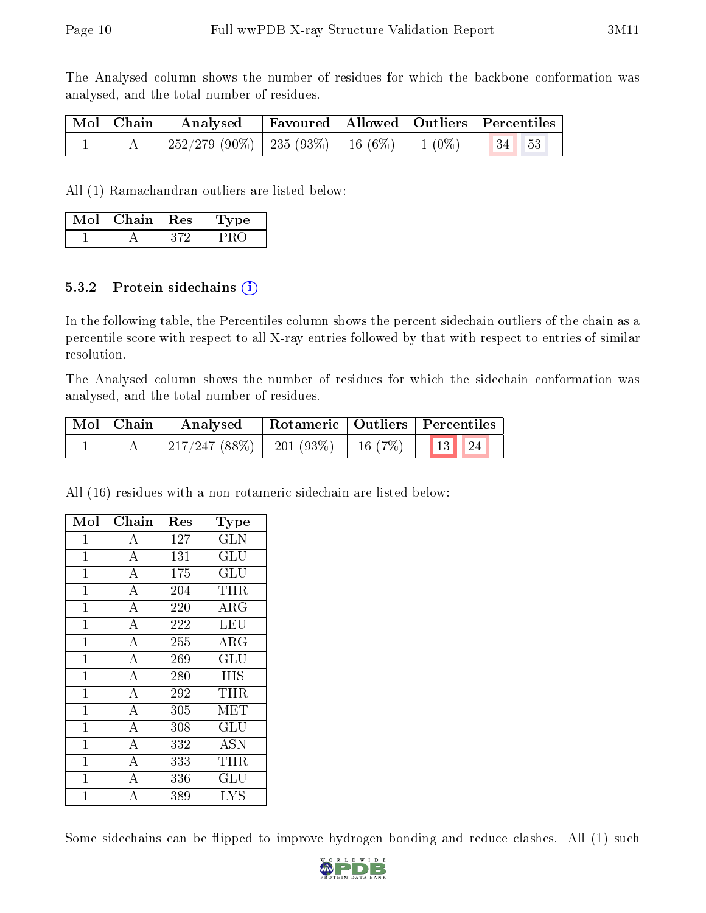The Analysed column shows the number of residues for which the backbone conformation was analysed, and the total number of residues.

|  | Mol   Chain   Analysed   Favoured   Allowed   Outliers   Percentiles |  |  |
|--|----------------------------------------------------------------------|--|--|
|  | 252/279 (90%)   235 (93%)   16 (6%)   1 (0%)   34   53               |  |  |

All (1) Ramachandran outliers are listed below:

| Mol | Chain | Res | 1'vpe |
|-----|-------|-----|-------|
|     |       |     |       |

#### 5.3.2 Protein sidechains  $(i)$

In the following table, the Percentiles column shows the percent sidechain outliers of the chain as a percentile score with respect to all X-ray entries followed by that with respect to entries of similar resolution.

The Analysed column shows the number of residues for which the sidechain conformation was analysed, and the total number of residues.

| $\mid$ Mol $\mid$ Chain $\mid$ | Analysed                                             |  | Rotameric   Outliers   Percentiles |  |  |
|--------------------------------|------------------------------------------------------|--|------------------------------------|--|--|
|                                | $\mid$ 217/247 (88%)   201 (93%)   16 (7%)   13   24 |  |                                    |  |  |

All (16) residues with a non-rotameric sidechain are listed below:

| Mol            | ${\bf Chain}$      | $\operatorname{Res}% \left( \mathcal{N}\right) \equiv\operatorname{Res}(\mathcal{N}_{0})\cap\mathcal{N}_{1}$ | Type                       |
|----------------|--------------------|--------------------------------------------------------------------------------------------------------------|----------------------------|
| 1              | А                  | 127                                                                                                          | <b>GLN</b>                 |
| $\mathbf 1$    | $\overline{\rm A}$ | 131                                                                                                          | GLU                        |
| $\mathbf{1}$   | $\overline{A}$     | 175                                                                                                          | $\overline{{\rm GLU}}$     |
| $\mathbf{1}$   | $\bf{A}$           | 204                                                                                                          | THR                        |
| $\mathbf{1}$   | $\overline{A}$     | 220                                                                                                          | $\overline{\rm A}{\rm RG}$ |
| $\overline{1}$ | $\overline{\rm A}$ | 222                                                                                                          | <b>LEU</b>                 |
| $\mathbf 1$    | $\overline{\rm A}$ | 255                                                                                                          | ${\rm ARG}$                |
| $\mathbf{1}$   | $\overline{A}$     | 269                                                                                                          | GLU                        |
| $\mathbf 1$    | $\bf{A}$           | 280                                                                                                          | <b>HIS</b>                 |
| $\mathbf{1}$   | $\overline{A}$     | 292                                                                                                          | <b>THR</b>                 |
| $\mathbf{1}$   | $\bf{A}$           | 305                                                                                                          | MET                        |
| $\mathbf{1}$   | $\overline{\rm A}$ | 308                                                                                                          | GLU                        |
| $\mathbf{1}$   | $\bf{A}$           | 332                                                                                                          | <b>ASN</b>                 |
| $\mathbf 1$    | $\overline{\rm A}$ | 333                                                                                                          | THR                        |
| $\mathbf{1}$   | $\overline{\rm A}$ | 336                                                                                                          | GLU                        |
| 1              | А                  | 389                                                                                                          | <b>LYS</b>                 |

Some sidechains can be flipped to improve hydrogen bonding and reduce clashes. All (1) such

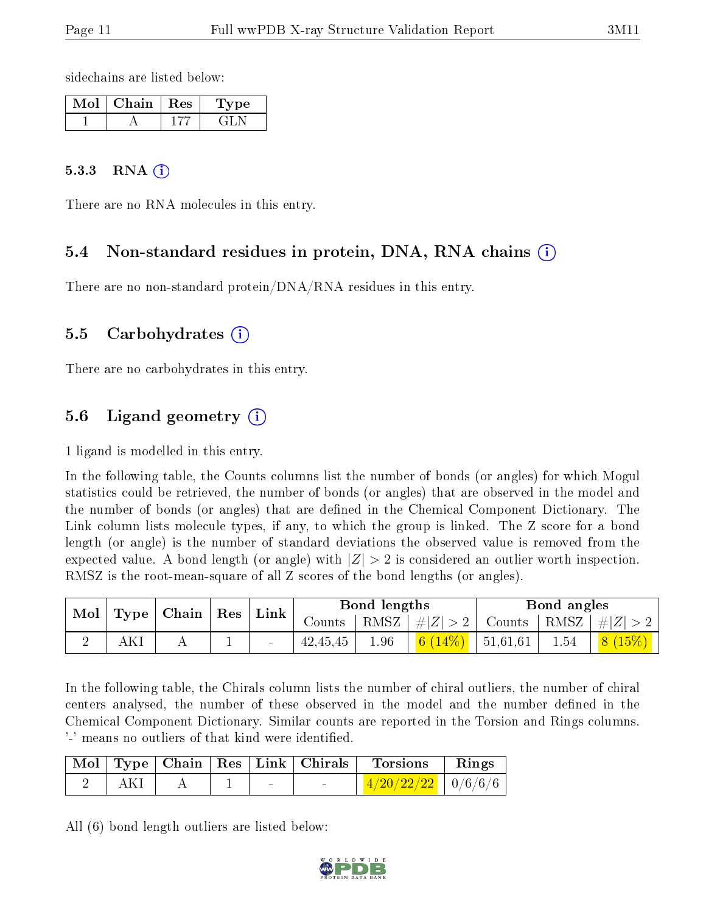sidechains are listed below:

| Mol | Chain | $\mathbb{R}$ Res $\mathbb{R}$ | vpe |
|-----|-------|-------------------------------|-----|
|     |       |                               |     |

#### 5.3.3 RNA [O](https://www.wwpdb.org/validation/2017/XrayValidationReportHelp#rna)i

There are no RNA molecules in this entry.

### 5.4 Non-standard residues in protein, DNA, RNA chains (i)

There are no non-standard protein/DNA/RNA residues in this entry.

#### 5.5 Carbohydrates (i)

There are no carbohydrates in this entry.

### 5.6 Ligand geometry (i)

1 ligand is modelled in this entry.

In the following table, the Counts columns list the number of bonds (or angles) for which Mogul statistics could be retrieved, the number of bonds (or angles) that are observed in the model and the number of bonds (or angles) that are dened in the Chemical Component Dictionary. The Link column lists molecule types, if any, to which the group is linked. The Z score for a bond length (or angle) is the number of standard deviations the observed value is removed from the expected value. A bond length (or angle) with  $|Z| > 2$  is considered an outlier worth inspection. RMSZ is the root-mean-square of all Z scores of the bond lengths (or angles).

|  |     |  | $\mid$ Mol $\mid$ Type $\mid$ Chain $\mid$ Res $\mid$ Link $\mid$ |        |          |                 | Bond lengths               |                                                        | Bond angles                   |  |
|--|-----|--|-------------------------------------------------------------------|--------|----------|-----------------|----------------------------|--------------------------------------------------------|-------------------------------|--|
|  |     |  |                                                                   | Counts |          | RMSZ $ #Z  > 2$ |                            | $\vert$ Counts $\vert$ RMSZ $\vert \#  Z  > 2$ $\vert$ |                               |  |
|  | AKI |  |                                                                   |        | 42,45,45 | 1.96            | $\vert$ 6 (14%)   51,61,61 | 1.54                                                   | $\mid$ $\mid 8 \ (15\%) \mid$ |  |

In the following table, the Chirals column lists the number of chiral outliers, the number of chiral centers analysed, the number of these observed in the model and the number defined in the Chemical Component Dictionary. Similar counts are reported in the Torsion and Rings columns. '-' means no outliers of that kind were identified.

|  |  | Mol   Type   Chain   Res   Link   Chirals | Torsions                                                                                 | $\mathbf{Rings}$ |
|--|--|-------------------------------------------|------------------------------------------------------------------------------------------|------------------|
|  |  |                                           | $\left\lceil \frac{4/20/22/22}{2} \right\rceil \left\lceil \frac{0}{6/6/6} \right\rceil$ |                  |

All (6) bond length outliers are listed below:

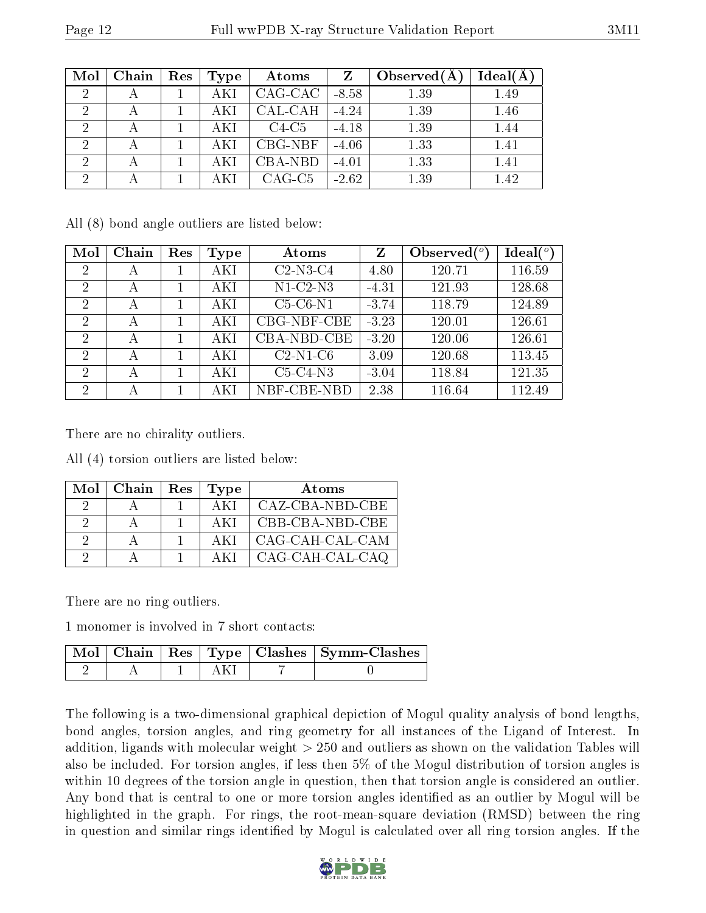| Mol            | Chain | Res | Type | Atoms     | $Z_{\rm}$ | Observed $(A)$ | $Ideal(\AA)$ |
|----------------|-------|-----|------|-----------|-----------|----------------|--------------|
| $\overline{2}$ |       |     | AKI  | CAG-CAC   | $-8.58$   | 1.39           | 1.49         |
| ച              |       |     |      | CAL-CAH   | $-4.24$   | 1.39           | 1.46         |
| റ              |       |     | AKI  | $C4-C5$   | $-4.18$   | 1.39           | 1.44         |
| റ              |       |     |      | $CBG-NBF$ | $-4.06$   | 1.33           | 1.41         |
| $\overline{2}$ |       |     | AKI  | CBA-NBD   | $-4.01$   | 1.33           | 1.41         |
| ച              |       |     |      | $CAG-C5$  | $-2.62$   | 1.39           | 1.42         |

All (8) bond angle outliers are listed below:

| Mol            | Chain | Res | Type | Atoms       | Z       | Observed $\binom{o}{c}$ | $Ideal(^o)$ |
|----------------|-------|-----|------|-------------|---------|-------------------------|-------------|
| $\overline{2}$ | А     |     | AKI  | $C2-N3-C4$  | 4.80    | 120.71                  | 116.59      |
| $\overline{2}$ | А     |     | AKI  | $N1-C2-N3$  | $-4.31$ | 121.93                  | 128.68      |
| 2              | А     |     | AKI  | $C5-C6-N1$  | $-3.74$ | 118.79                  | 124.89      |
| $\mathcal{D}$  | А     |     | AKI  | CBG-NBF-CBE | $-3.23$ | 120.01                  | 126.61      |
| $\overline{2}$ | А     |     | AKI  | CBA-NBD-CBE | $-3.20$ | 120.06                  | 126.61      |
| $\mathcal{D}$  | А     |     | AKI  | $C2-N1-C6$  | 3.09    | 120.68                  | 113.45      |
| $\mathcal{D}$  | А     |     | AKI  | $C5-C4-N3$  | $-3.04$ | 118.84                  | 121.35      |
| $\overline{2}$ | А     |     | AKI  | NBF-CBE-NBD | 2.38    | 116.64                  | 112.49      |

There are no chirality outliers.

All (4) torsion outliers are listed below:

|          | $Mol$   Chain | <b>Res</b> | Type | Atoms           |
|----------|---------------|------------|------|-----------------|
|          |               |            | AKI  | CAZ-CBA-NBD-CBE |
|          |               |            | AKI  | CBB-CBA-NBD-CBE |
| $\Omega$ |               |            | AKI  | CAG-CAH-CAL-CAM |
|          |               |            |      | CAG-CAH-CAL-CAQ |

There are no ring outliers.

1 monomer is involved in 7 short contacts:

|  |  | Mol   Chain   Res   Type   Clashes   Symm-Clashes |
|--|--|---------------------------------------------------|
|  |  |                                                   |

The following is a two-dimensional graphical depiction of Mogul quality analysis of bond lengths, bond angles, torsion angles, and ring geometry for all instances of the Ligand of Interest. In addition, ligands with molecular weight > 250 and outliers as shown on the validation Tables will also be included. For torsion angles, if less then 5% of the Mogul distribution of torsion angles is within 10 degrees of the torsion angle in question, then that torsion angle is considered an outlier. Any bond that is central to one or more torsion angles identified as an outlier by Mogul will be highlighted in the graph. For rings, the root-mean-square deviation (RMSD) between the ring in question and similar rings identified by Mogul is calculated over all ring torsion angles. If the

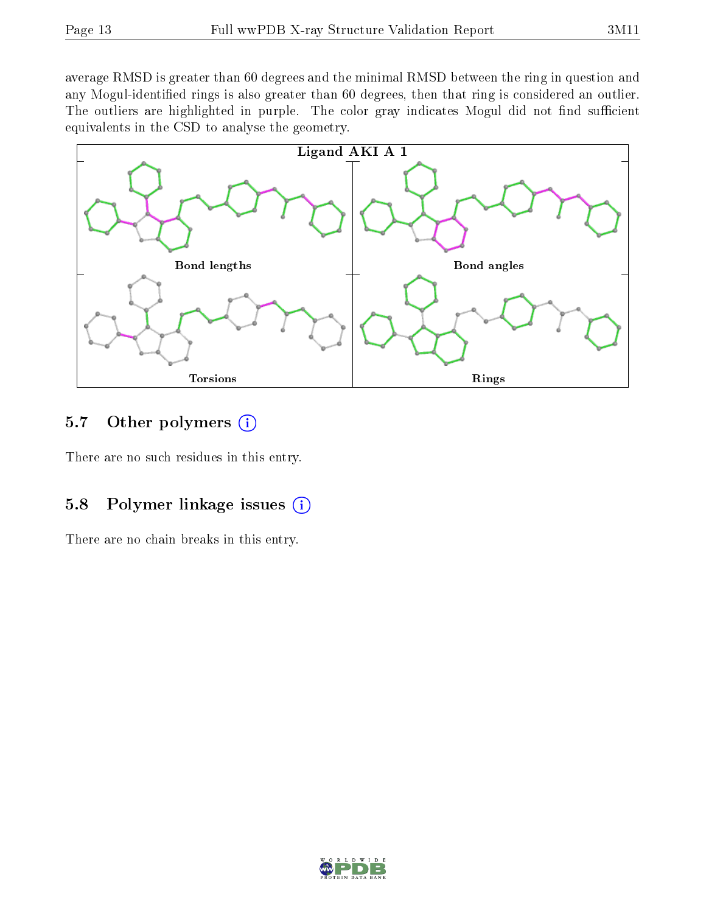average RMSD is greater than 60 degrees and the minimal RMSD between the ring in question and any Mogul-identified rings is also greater than 60 degrees, then that ring is considered an outlier. The outliers are highlighted in purple. The color gray indicates Mogul did not find sufficient equivalents in the CSD to analyse the geometry.



### 5.7 [O](https://www.wwpdb.org/validation/2017/XrayValidationReportHelp#nonstandard_residues_and_ligands)ther polymers  $(i)$

There are no such residues in this entry.

### 5.8 Polymer linkage issues  $(i)$

There are no chain breaks in this entry.

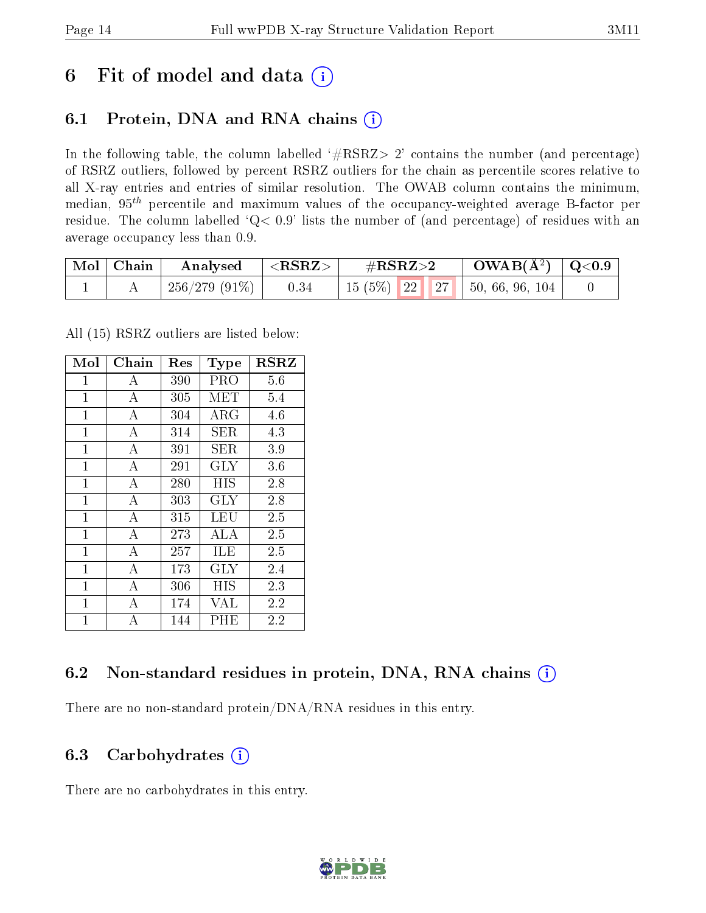## 6 Fit of model and data  $(i)$

## 6.1 Protein, DNA and RNA chains  $(i)$

In the following table, the column labelled  $#RSRZ> 2'$  contains the number (and percentage) of RSRZ outliers, followed by percent RSRZ outliers for the chain as percentile scores relative to all X-ray entries and entries of similar resolution. The OWAB column contains the minimum, median,  $95<sup>th</sup>$  percentile and maximum values of the occupancy-weighted average B-factor per residue. The column labelled ' $Q< 0.9$ ' lists the number of (and percentage) of residues with an average occupancy less than 0.9.

| $\mid$ Mol $\mid$ Chain | Analysed      | $ \langle \mathrm{RSRZ}\rangle $ | $\#\mathrm{RSRZ}{>}2$ |  | $\text{OWAB}(\AA^2) \mid \text{Q}<0.9$ |                                     |  |
|-------------------------|---------------|----------------------------------|-----------------------|--|----------------------------------------|-------------------------------------|--|
|                         | 256/279 (91%) | 0.34                             |                       |  |                                        | 15 (5%)   22   27   50, 66, 96, 104 |  |

All (15) RSRZ outliers are listed below:

| Mol            | Chain          | Res | <b>Type</b> | <b>RSRZ</b> |
|----------------|----------------|-----|-------------|-------------|
| 1              | А              | 390 | PRO         | 5.6         |
| $\mathbf{1}$   | $\bf{A}$       | 305 | MET         | 5.4         |
| $\mathbf{1}$   | А              | 304 | $\rm{ARG}$  | 4.6         |
| 1              | А              | 314 | SER         | 4.3         |
| $\mathbf{1}$   | А              | 391 | SER         | 3.9         |
| $\mathbf{1}$   | A              | 291 | $\rm GLY$   | 3.6         |
| $\mathbf{1}$   | А              | 280 | HIS         | 2.8         |
| $\overline{1}$ | $\bf{A}$       | 303 | GLY         | 2.8         |
| $\mathbf{1}$   | $\overline{A}$ | 315 | LEU         | 2.5         |
| $\overline{1}$ | А              | 273 | ALA         | 2.5         |
| $\overline{1}$ | $\bf{A}$       | 257 | ILE         | 2.5         |
| $\overline{1}$ | $\overline{A}$ | 173 | $\rm GLY$   | 2.4         |
| $\overline{1}$ | А              | 306 | HIS         | 2.3         |
| $\mathbf{1}$   | $\mathbf{A}$   | 174 | VAL         | 2.2         |
| $\overline{1}$ | А              | 144 | PHE         | 2.2         |

## 6.2 Non-standard residues in protein, DNA, RNA chains (i)

There are no non-standard protein/DNA/RNA residues in this entry.

### 6.3 Carbohydrates  $(i)$

There are no carbohydrates in this entry.